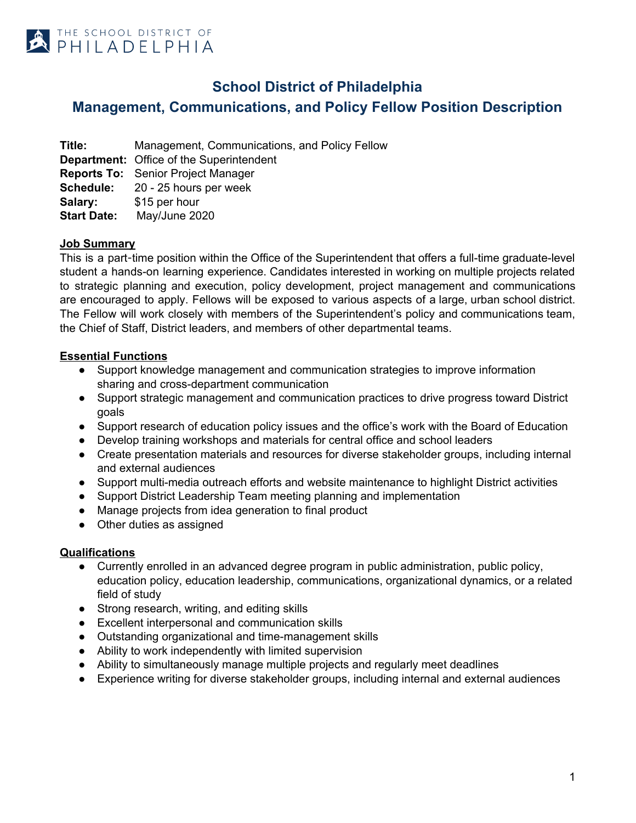

# **School District of Philadelphia**

**Management, Communications, and Policy Fellow Position Description**

**Title:** Management, Communications, and Policy Fellow **Department:** Office of the Superintendent **Reports To:** Senior Project Manager **Schedule:** 20 - 25 hours per week Salary: \$15 per hour **Start Date:** May/June 2020

### **Job Summary**

This is a part-time position within the Office of the Superintendent that offers a full-time graduate-level student a hands-on learning experience. Candidates interested in working on multiple projects related to strategic planning and execution, policy development, project management and communications are encouraged to apply. Fellows will be exposed to various aspects of a large, urban school district. The Fellow will work closely with members of the Superintendent's policy and communications team, the Chief of Staff, District leaders, and members of other departmental teams.

## **Essential Functions**

- Support knowledge management and communication strategies to improve information sharing and cross-department communication
- Support strategic management and communication practices to drive progress toward District goals
- Support research of education policy issues and the office's work with the Board of Education
- Develop training workshops and materials for central office and school leaders
- Create presentation materials and resources for diverse stakeholder groups, including internal and external audiences
- Support multi-media outreach efforts and website maintenance to highlight District activities
- Support District Leadership Team meeting planning and implementation
- Manage projects from idea generation to final product
- Other duties as assigned

### **Qualifications**

- Currently enrolled in an advanced degree program in public administration, public policy, education policy, education leadership, communications, organizational dynamics, or a related field of study
- Strong research, writing, and editing skills
- Excellent interpersonal and communication skills
- Outstanding organizational and time-management skills
- Ability to work independently with limited supervision
- Ability to simultaneously manage multiple projects and regularly meet deadlines
- Experience writing for diverse stakeholder groups, including internal and external audiences